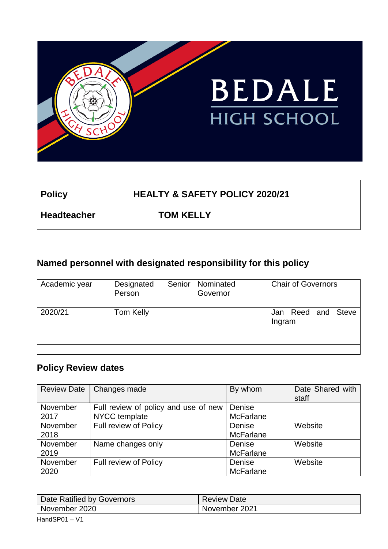

## **Policy HEALTY & SAFETY POLICY 2020/21**

**Headteacher TOM KELLY**

## **Named personnel with designated responsibility for this policy**

| Academic year | Senior<br>Designated<br>Person | Nominated<br>Governor | <b>Chair of Governors</b>    |  |
|---------------|--------------------------------|-----------------------|------------------------------|--|
| 2020/21       | Tom Kelly                      |                       | Jan Reed and Steve<br>Ingram |  |
|               |                                |                       |                              |  |
|               |                                |                       |                              |  |
|               |                                |                       |                              |  |

### **Policy Review dates**

| <b>Review Date</b> | Changes made                         | By whom          | Date Shared with<br>staff |
|--------------------|--------------------------------------|------------------|---------------------------|
| November           | Full review of policy and use of new | Denise           |                           |
| 2017               | NYCC template                        | <b>McFarlane</b> |                           |
| November           | Full review of Policy                | Denise           | Website                   |
| 2018               |                                      | <b>McFarlane</b> |                           |
| November           | Name changes only                    | Denise           | Website                   |
| 2019               |                                      | <b>McFarlane</b> |                           |
| November           | Full review of Policy                | Denise           | Website                   |
| 2020               |                                      | <b>McFarlane</b> |                           |

| Date Ratified by Governors | <b>Review Date</b> |
|----------------------------|--------------------|
| November 2020              | November 2021      |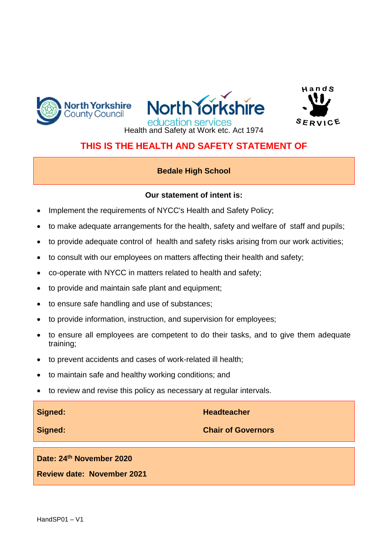





### **THIS IS THE HEALTH AND SAFETY STATEMENT OF**

### **Bedale High School**

#### **Our statement of intent is:**

- Implement the requirements of NYCC's Health and Safety Policy;
- to make adequate arrangements for the health, safety and welfare of staff and pupils;
- to provide adequate control of health and safety risks arising from our work activities;
- to consult with our employees on matters affecting their health and safety;
- co-operate with NYCC in matters related to health and safety;
- to provide and maintain safe plant and equipment;
- to ensure safe handling and use of substances;
- to provide information, instruction, and supervision for employees;
- to ensure all employees are competent to do their tasks, and to give them adequate training;
- to prevent accidents and cases of work-related ill health;
- to maintain safe and healthy working conditions; and
- to review and revise this policy as necessary at regular intervals.

| Signed:                           | <b>Headteacher</b>        |
|-----------------------------------|---------------------------|
| Signed:                           | <b>Chair of Governors</b> |
| Date: 24th November 2020          |                           |
| <b>Review date: November 2021</b> |                           |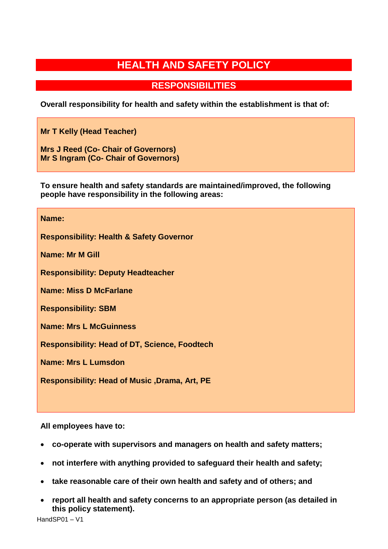# **HEALTH AND SAFETY POLICY**

**RESPONSIBILITIES**

**Overall responsibility for health and safety within the establishment is that of:**

**Mr T Kelly (Head Teacher)**

**Mrs J Reed (Co- Chair of Governors) Mr S Ingram (Co- Chair of Governors)**

**To ensure health and safety standards are maintained/improved, the following people have responsibility in the following areas:**

#### **Name:**

**Responsibility: Health & Safety Governor**

**Name: Mr M Gill**

**Responsibility: Deputy Headteacher**

**Name: Miss D McFarlane**

**Responsibility: SBM**

**Name: Mrs L McGuinness**

**Responsibility: Head of DT, Science, Foodtech**

**Name: Mrs L Lumsdon**

**Responsibility: Head of Music ,Drama, Art, PE**

**All employees have to:**

- **co-operate with supervisors and managers on health and safety matters;**
- **not interfere with anything provided to safeguard their health and safety;**
- **take reasonable care of their own health and safety and of others; and**
- **report all health and safety concerns to an appropriate person (as detailed in this policy statement).**

HandSP01 – V1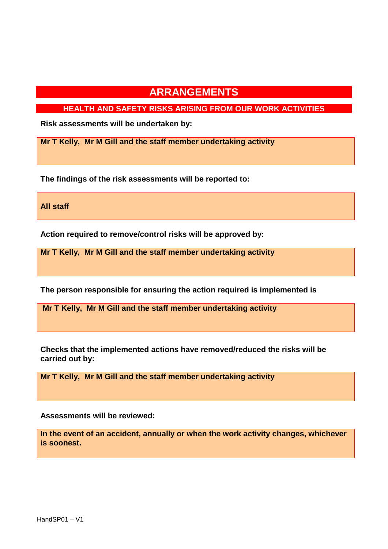**HEALTH AND SAFETY RISKS ARISING FROM OUR WORK ACTIVITIES**

**Risk assessments will be undertaken by:**

**Mr T Kelly, Mr M Gill and the staff member undertaking activity**

**The findings of the risk assessments will be reported to:**

**All staff**

**Action required to remove/control risks will be approved by:**

**Mr T Kelly, Mr M Gill and the staff member undertaking activity**

**The person responsible for ensuring the action required is implemented is**

**Mr T Kelly, Mr M Gill and the staff member undertaking activity**

**Checks that the implemented actions have removed/reduced the risks will be carried out by:**

**Mr T Kelly, Mr M Gill and the staff member undertaking activity**

**Assessments will be reviewed:**

**In the event of an accident, annually or when the work activity changes, whichever is soonest.**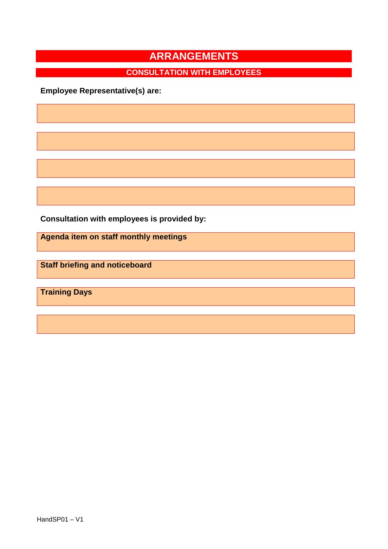# **CONSULTATION WITH EMPLOYEES**

**Employee Representative(s) are:**

**Consultation with employees is provided by:**

**Agenda item on staff monthly meetings**

**Staff briefing and noticeboard**

**Training Days**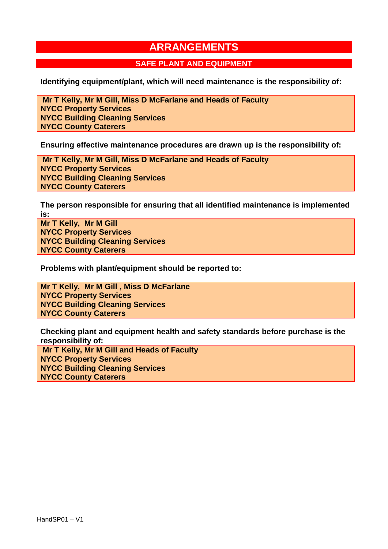#### **SAFE PLANT AND EQUIPMENT**

**Identifying equipment/plant, which will need maintenance is the responsibility of:**

**Mr T Kelly, Mr M Gill, Miss D McFarlane and Heads of Faculty NYCC Property Services NYCC Building Cleaning Services NYCC County Caterers**

**Ensuring effective maintenance procedures are drawn up is the responsibility of:**

**Mr T Kelly, Mr M Gill, Miss D McFarlane and Heads of Faculty NYCC Property Services NYCC Building Cleaning Services NYCC County Caterers**

**The person responsible for ensuring that all identified maintenance is implemented is:**

**Mr T Kelly, Mr M Gill NYCC Property Services NYCC Building Cleaning Services NYCC County Caterers**

**Problems with plant/equipment should be reported to:** 

**Mr T Kelly, Mr M Gill , Miss D McFarlane NYCC Property Services NYCC Building Cleaning Services NYCC County Caterers**

**Checking plant and equipment health and safety standards before purchase is the responsibility of:**

**Mr T Kelly, Mr M Gill and Heads of Faculty NYCC Property Services NYCC Building Cleaning Services NYCC County Caterers**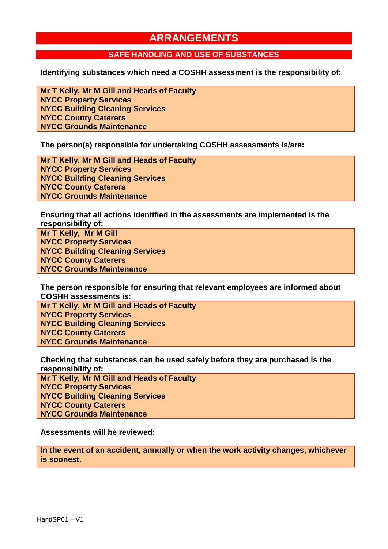### **SAFE HANDLING AND USE OF SUBSTANCES**

**Identifying substances which need a COSHH assessment is the responsibility of:**

**Mr T Kelly, Mr M Gill and Heads of Faculty NYCC Property Services NYCC Building Cleaning Services NYCC County Caterers NYCC Grounds Maintenance**

**The person(s) responsible for undertaking COSHH assessments is/are:**

**Mr T Kelly, Mr M Gill and Heads of Faculty NYCC Property Services NYCC Building Cleaning Services NYCC County Caterers NYCC Grounds Maintenance**

**Ensuring that all actions identified in the assessments are implemented is the responsibility of:**

**Mr T Kelly, Mr M Gill NYCC Property Services NYCC Building Cleaning Services NYCC County Caterers NYCC Grounds Maintenance**

**The person responsible for ensuring that relevant employees are informed about COSHH assessments is:**

**Mr T Kelly, Mr M Gill and Heads of Faculty NYCC Property Services NYCC Building Cleaning Services NYCC County Caterers NYCC Grounds Maintenance**

**Checking that substances can be used safely before they are purchased is the responsibility of:**

**Mr T Kelly, Mr M Gill and Heads of Faculty NYCC Property Services NYCC Building Cleaning Services NYCC County Caterers NYCC Grounds Maintenance**

**Assessments will be reviewed:**

**In the event of an accident, annually or when the work activity changes, whichever is soonest.**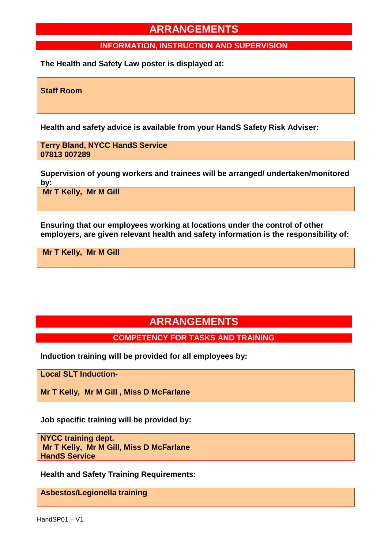#### **INFORMATION, INSTRUCTION AND SUPERVISION**

**The Health and Safety Law poster is displayed at:**

**Staff Room**

**Health and safety advice is available from your HandS Safety Risk Adviser:**

**Terry Bland, NYCC HandS Service 07813 007289**

**Supervision of young workers and trainees will be arranged/ undertaken/monitored by:**

**Mr T Kelly, Mr M Gill** 

**Ensuring that our employees working at locations under the control of other employers, are given relevant health and safety information is the responsibility of:**

**Mr T Kelly, Mr M Gill** 

### **ARRANGEMENTS**

### **COMPETENCY FOR TASKS AND TRAINING**

**Induction training will be provided for all employees by:**

**Local SLT Induction-**

**Mr T Kelly, Mr M Gill , Miss D McFarlane**

**Job specific training will be provided by:**

**NYCC training dept. Mr T Kelly, Mr M Gill, Miss D McFarlane HandS Service**

**Health and Safety Training Requirements:**

**Asbestos/Legionella training**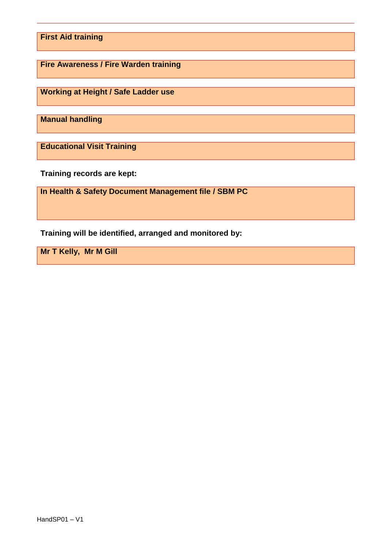**First Aid training**

**Fire Awareness / Fire Warden training**

**Working at Height / Safe Ladder use**

**Manual handling**

**Educational Visit Training**

**Training records are kept:**

**In Health & Safety Document Management file / SBM PC**

**Training will be identified, arranged and monitored by:**

**Mr T Kelly, Mr M Gill**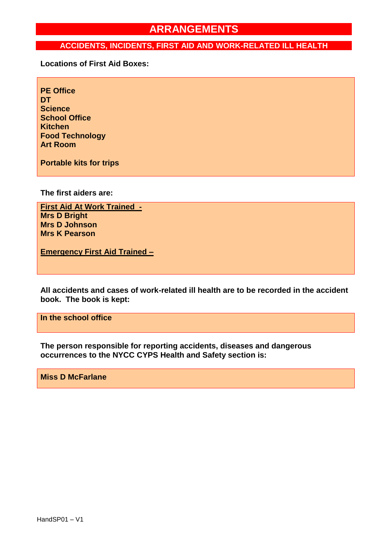#### **ACCIDENTS, INCIDENTS, FIRST AID AND WORK-RELATED ILL HEALTH**

**Locations of First Aid Boxes:**

**PE Office DT Science School Office Kitchen Food Technology Art Room**

**Portable kits for trips**

**The first aiders are:**

**First Aid At Work Trained - Mrs D Bright Mrs D Johnson Mrs K Pearson**

**Emergency First Aid Trained –**

**All accidents and cases of work-related ill health are to be recorded in the accident book. The book is kept:**

**In the school office**

**The person responsible for reporting accidents, diseases and dangerous occurrences to the NYCC CYPS Health and Safety section is:**

**Miss D McFarlane**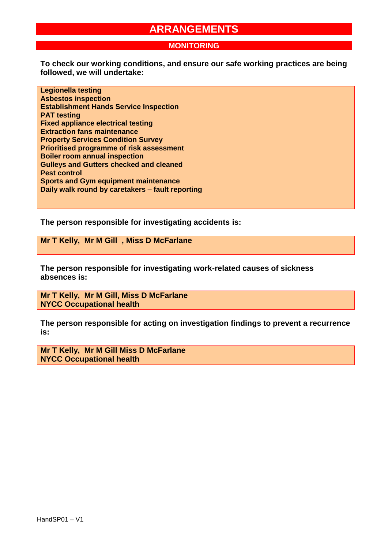#### **MONITORING**

**To check our working conditions, and ensure our safe working practices are being followed, we will undertake:**

**Legionella testing Asbestos inspection Establishment Hands Service Inspection PAT testing Fixed appliance electrical testing Extraction fans maintenance Property Services Condition Survey Prioritised programme of risk assessment Boiler room annual inspection Gulleys and Gutters checked and cleaned Pest control Sports and Gym equipment maintenance Daily walk round by caretakers – fault reporting** 

**The person responsible for investigating accidents is:**

**Mr T Kelly, Mr M Gill , Miss D McFarlane**

**The person responsible for investigating work-related causes of sickness absences is:**

**Mr T Kelly, Mr M Gill, Miss D McFarlane NYCC Occupational health**

**The person responsible for acting on investigation findings to prevent a recurrence is:**

**Mr T Kelly, Mr M Gill Miss D McFarlane NYCC Occupational health**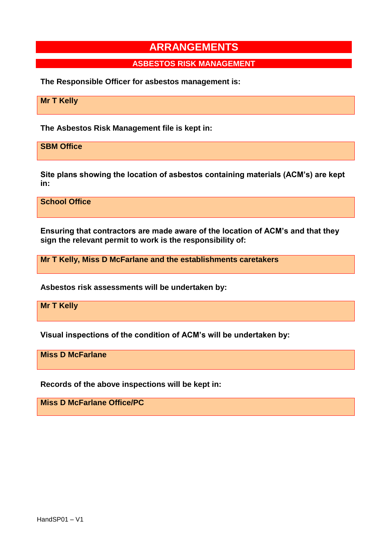### **ASBESTOS RISK MANAGEMENT**

**The Responsible Officer for asbestos management is:**

**Mr T Kelly**

**The Asbestos Risk Management file is kept in:**

**SBM Office**

**Site plans showing the location of asbestos containing materials (ACM's) are kept in:**

**School Office**

**Ensuring that contractors are made aware of the location of ACM's and that they sign the relevant permit to work is the responsibility of:**

**Mr T Kelly, Miss D McFarlane and the establishments caretakers**

**Asbestos risk assessments will be undertaken by:**

**Mr T Kelly**

**Visual inspections of the condition of ACM's will be undertaken by:**

**Miss D McFarlane**

**Records of the above inspections will be kept in:**

**Miss D McFarlane Office/PC**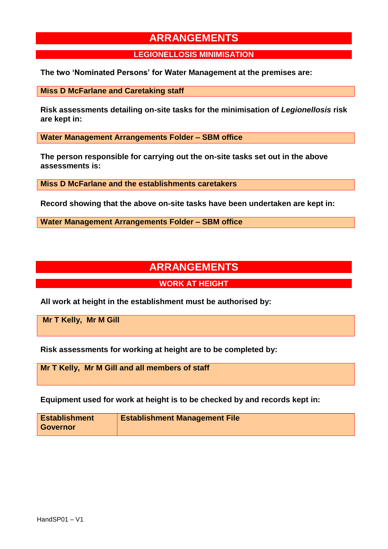#### **LEGIONELLOSIS MINIMISATION**

**The two 'Nominated Persons' for Water Management at the premises are:**

**Miss D McFarlane and Caretaking staff**

**Risk assessments detailing on-site tasks for the minimisation of** *Legionellosis* **risk are kept in:**

**Water Management Arrangements Folder – SBM office** 

**The person responsible for carrying out the on-site tasks set out in the above assessments is:**

**Miss D McFarlane and the establishments caretakers** 

**Record showing that the above on-site tasks have been undertaken are kept in:**

**Water Management Arrangements Folder – SBM office** 

## **ARRANGEMENTS**

#### **WORK AT HEIGHT**

**All work at height in the establishment must be authorised by:**

**Mr T Kelly, Mr M Gill** 

**Risk assessments for working at height are to be completed by:**

**Mr T Kelly, Mr M Gill and all members of staff**

**Equipment used for work at height is to be checked by and records kept in:**

| <b>Establishment</b> | <b>Establishment Management File</b> |
|----------------------|--------------------------------------|
| <b>Governor</b>      |                                      |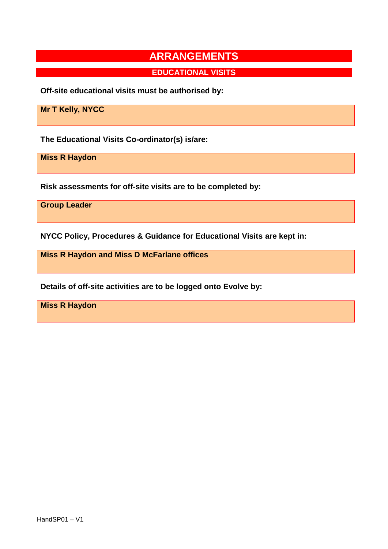**EDUCATIONAL VISITS**

**Off-site educational visits must be authorised by:**

**Mr T Kelly, NYCC**

**The Educational Visits Co-ordinator(s) is/are:**

**Miss R Haydon**

**Risk assessments for off-site visits are to be completed by:**

**Group Leader**

**NYCC Policy, Procedures & Guidance for Educational Visits are kept in:**

**Miss R Haydon and Miss D McFarlane offices**

**Details of off-site activities are to be logged onto Evolve by:**

**Miss R Haydon**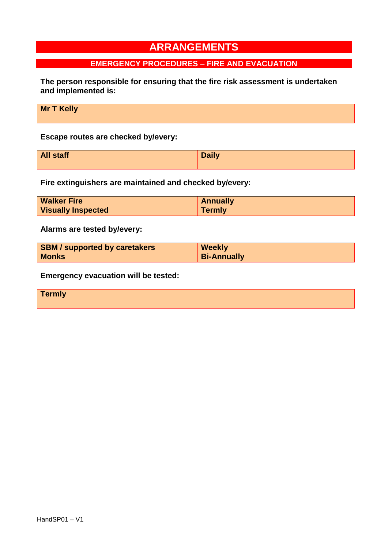### **EMERGENCY PROCEDURES – FIRE AND EVACUATION**

**The person responsible for ensuring that the fire risk assessment is undertaken and implemented is:**

**Escape routes are checked by/every:**

| <b>All staff</b> | <b>Daily</b> |
|------------------|--------------|
|                  |              |

**Fire extinguishers are maintained and checked by/every:**

| <b>Walker Fire</b>        | <b>Annually</b> |
|---------------------------|-----------------|
| <b>Visually Inspected</b> | <b>Termly</b>   |

**Alarms are tested by/every:**

| <b>SBM</b> / supported by caretakers | <b>Weekly</b>      |
|--------------------------------------|--------------------|
| <b>Monks</b>                         | <b>Bi-Annually</b> |

**Emergency evacuation will be tested:**

| Texas br<br><b>Termiy</b> |  |  |  |
|---------------------------|--|--|--|
|                           |  |  |  |